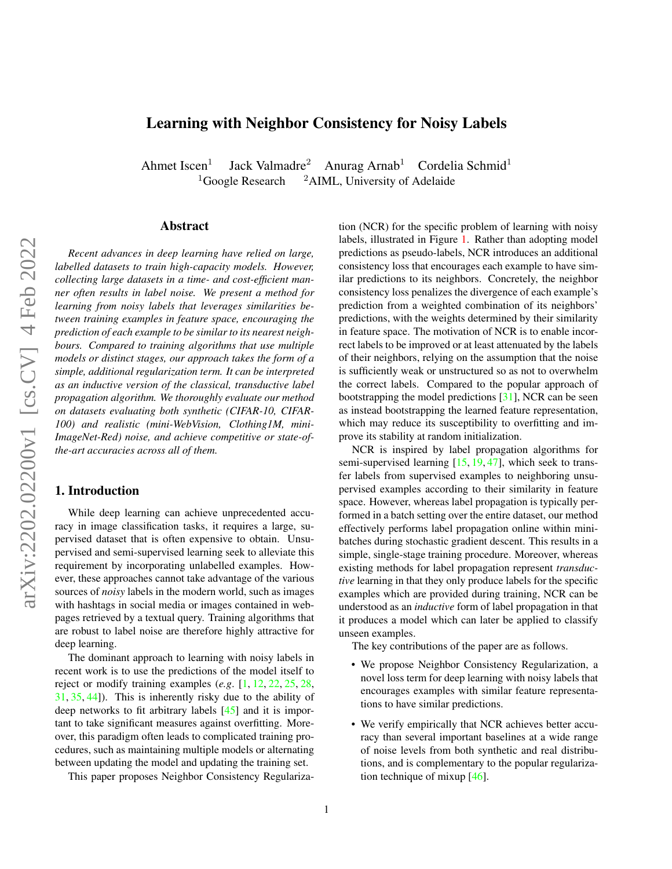# <span id="page-0-0"></span>Learning with Neighbor Consistency for Noisy Labels

Ahmet Iscen $<sup>1</sup>$ </sup> Jack Valmadre<sup>2</sup> Anurag Arnab<sup>1</sup> Cordelia Schmid<sup>1</sup> <sup>1</sup>Google Research <sup>2</sup>AIML, University of Adelaide

## Abstract

*Recent advances in deep learning have relied on large, labelled datasets to train high-capacity models. However, collecting large datasets in a time- and cost-efficient manner often results in label noise. We present a method for learning from noisy labels that leverages similarities between training examples in feature space, encouraging the prediction of each example to be similar to its nearest neighbours. Compared to training algorithms that use multiple models or distinct stages, our approach takes the form of a simple, additional regularization term. It can be interpreted as an inductive version of the classical, transductive label propagation algorithm. We thoroughly evaluate our method on datasets evaluating both synthetic (CIFAR-10, CIFAR-100) and realistic (mini-WebVision, Clothing1M, mini-ImageNet-Red) noise, and achieve competitive or state-ofthe-art accuracies across all of them.*

# 1. Introduction

While deep learning can achieve unprecedented accuracy in image classification tasks, it requires a large, supervised dataset that is often expensive to obtain. Unsupervised and semi-supervised learning seek to alleviate this requirement by incorporating unlabelled examples. However, these approaches cannot take advantage of the various sources of *noisy* labels in the modern world, such as images with hashtags in social media or images contained in webpages retrieved by a textual query. Training algorithms that are robust to label noise are therefore highly attractive for deep learning.

The dominant approach to learning with noisy labels in recent work is to use the predictions of the model itself to reject or modify training examples (*e.g*. [\[1,](#page-8-0) [12,](#page-8-1) [22,](#page-8-2) [25,](#page-8-3) [28,](#page-8-4) [31,](#page-8-5) [35,](#page-9-0) [44\]](#page-9-1)). This is inherently risky due to the ability of deep networks to fit arbitrary labels [\[45\]](#page-9-2) and it is important to take significant measures against overfitting. Moreover, this paradigm often leads to complicated training procedures, such as maintaining multiple models or alternating between updating the model and updating the training set.

This paper proposes Neighbor Consistency Regulariza-

tion (NCR) for the specific problem of learning with noisy labels, illustrated in Figure [1.](#page-2-0) Rather than adopting model predictions as pseudo-labels, NCR introduces an additional consistency loss that encourages each example to have similar predictions to its neighbors. Concretely, the neighbor consistency loss penalizes the divergence of each example's prediction from a weighted combination of its neighbors' predictions, with the weights determined by their similarity in feature space. The motivation of NCR is to enable incorrect labels to be improved or at least attenuated by the labels of their neighbors, relying on the assumption that the noise is sufficiently weak or unstructured so as not to overwhelm the correct labels. Compared to the popular approach of bootstrapping the model predictions [\[31\]](#page-8-5), NCR can be seen as instead bootstrapping the learned feature representation, which may reduce its susceptibility to overfitting and improve its stability at random initialization.

NCR is inspired by label propagation algorithms for semi-supervised learning [\[15,](#page-8-6) [19,](#page-8-7) [47\]](#page-9-3), which seek to transfer labels from supervised examples to neighboring unsupervised examples according to their similarity in feature space. However, whereas label propagation is typically performed in a batch setting over the entire dataset, our method effectively performs label propagation online within minibatches during stochastic gradient descent. This results in a simple, single-stage training procedure. Moreover, whereas existing methods for label propagation represent *transductive* learning in that they only produce labels for the specific examples which are provided during training, NCR can be understood as an *inductive* form of label propagation in that it produces a model which can later be applied to classify unseen examples.

The key contributions of the paper are as follows.

- We propose Neighbor Consistency Regularization, a novel loss term for deep learning with noisy labels that encourages examples with similar feature representations to have similar predictions.
- We verify empirically that NCR achieves better accuracy than several important baselines at a wide range of noise levels from both synthetic and real distributions, and is complementary to the popular regularization technique of mixup  $[46]$ .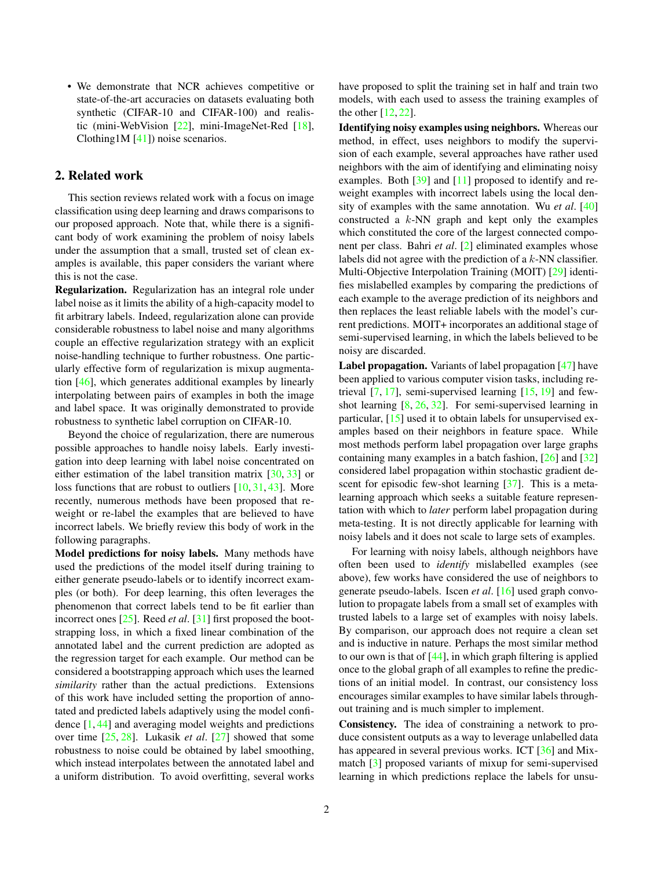<span id="page-1-0"></span>• We demonstrate that NCR achieves competitive or state-of-the-art accuracies on datasets evaluating both synthetic (CIFAR-10 and CIFAR-100) and realistic (mini-WebVision [\[22\]](#page-8-2), mini-ImageNet-Red [\[18\]](#page-8-8), Clothing1M [\[41\]](#page-9-5)) noise scenarios.

# 2. Related work

This section reviews related work with a focus on image classification using deep learning and draws comparisons to our proposed approach. Note that, while there is a significant body of work examining the problem of noisy labels under the assumption that a small, trusted set of clean examples is available, this paper considers the variant where this is not the case.

Regularization. Regularization has an integral role under label noise as it limits the ability of a high-capacity model to fit arbitrary labels. Indeed, regularization alone can provide considerable robustness to label noise and many algorithms couple an effective regularization strategy with an explicit noise-handling technique to further robustness. One particularly effective form of regularization is mixup augmentation [\[46\]](#page-9-4), which generates additional examples by linearly interpolating between pairs of examples in both the image and label space. It was originally demonstrated to provide robustness to synthetic label corruption on CIFAR-10.

Beyond the choice of regularization, there are numerous possible approaches to handle noisy labels. Early investigation into deep learning with label noise concentrated on either estimation of the label transition matrix  $[30, 33]$  $[30, 33]$  $[30, 33]$  or loss functions that are robust to outliers [\[10,](#page-8-10) [31,](#page-8-5) [43\]](#page-9-7). More recently, numerous methods have been proposed that reweight or re-label the examples that are believed to have incorrect labels. We briefly review this body of work in the following paragraphs.

Model predictions for noisy labels. Many methods have used the predictions of the model itself during training to either generate pseudo-labels or to identify incorrect examples (or both). For deep learning, this often leverages the phenomenon that correct labels tend to be fit earlier than incorrect ones [\[25\]](#page-8-3). Reed *et al*. [\[31\]](#page-8-5) first proposed the bootstrapping loss, in which a fixed linear combination of the annotated label and the current prediction are adopted as the regression target for each example. Our method can be considered a bootstrapping approach which uses the learned *similarity* rather than the actual predictions. Extensions of this work have included setting the proportion of annotated and predicted labels adaptively using the model confidence [\[1,](#page-8-0) [44\]](#page-9-1) and averaging model weights and predictions over time [\[25,](#page-8-3) [28\]](#page-8-4). Lukasik *et al*. [\[27\]](#page-8-11) showed that some robustness to noise could be obtained by label smoothing, which instead interpolates between the annotated label and a uniform distribution. To avoid overfitting, several works

have proposed to split the training set in half and train two models, with each used to assess the training examples of the other [\[12,](#page-8-1) [22\]](#page-8-2).

Identifying noisy examples using neighbors. Whereas our method, in effect, uses neighbors to modify the supervision of each example, several approaches have rather used neighbors with the aim of identifying and eliminating noisy examples. Both [\[39\]](#page-9-8) and [\[11\]](#page-8-12) proposed to identify and reweight examples with incorrect labels using the local density of examples with the same annotation. Wu *et al*. [\[40\]](#page-9-9) constructed a  $k$ -NN graph and kept only the examples which constituted the core of the largest connected component per class. Bahri *et al*. [\[2\]](#page-8-13) eliminated examples whose labels did not agree with the prediction of a  $k$ -NN classifier. Multi-Objective Interpolation Training (MOIT) [\[29\]](#page-8-14) identifies mislabelled examples by comparing the predictions of each example to the average prediction of its neighbors and then replaces the least reliable labels with the model's current predictions. MOIT+ incorporates an additional stage of semi-supervised learning, in which the labels believed to be noisy are discarded.

Label propagation. Variants of label propagation [\[47\]](#page-9-3) have been applied to various computer vision tasks, including retrieval [\[7,](#page-8-15) [17\]](#page-8-16), semi-supervised learning [\[15,](#page-8-6) [19\]](#page-8-7) and fewshot learning [\[8,](#page-8-17) [26,](#page-8-18) [32\]](#page-8-19). For semi-supervised learning in particular, [\[15\]](#page-8-6) used it to obtain labels for unsupervised examples based on their neighbors in feature space. While most methods perform label propagation over large graphs containing many examples in a batch fashion, [\[26\]](#page-8-18) and [\[32\]](#page-8-19) considered label propagation within stochastic gradient de-scent for episodic few-shot learning [\[37\]](#page-9-10). This is a metalearning approach which seeks a suitable feature representation with which to *later* perform label propagation during meta-testing. It is not directly applicable for learning with noisy labels and it does not scale to large sets of examples.

For learning with noisy labels, although neighbors have often been used to *identify* mislabelled examples (see above), few works have considered the use of neighbors to generate pseudo-labels. Iscen *et al*. [\[16\]](#page-8-20) used graph convolution to propagate labels from a small set of examples with trusted labels to a large set of examples with noisy labels. By comparison, our approach does not require a clean set and is inductive in nature. Perhaps the most similar method to our own is that of  $[44]$ , in which graph filtering is applied once to the global graph of all examples to refine the predictions of an initial model. In contrast, our consistency loss encourages similar examples to have similar labels throughout training and is much simpler to implement.

Consistency. The idea of constraining a network to produce consistent outputs as a way to leverage unlabelled data has appeared in several previous works. ICT [\[36\]](#page-9-11) and Mixmatch [\[3\]](#page-8-21) proposed variants of mixup for semi-supervised learning in which predictions replace the labels for unsu-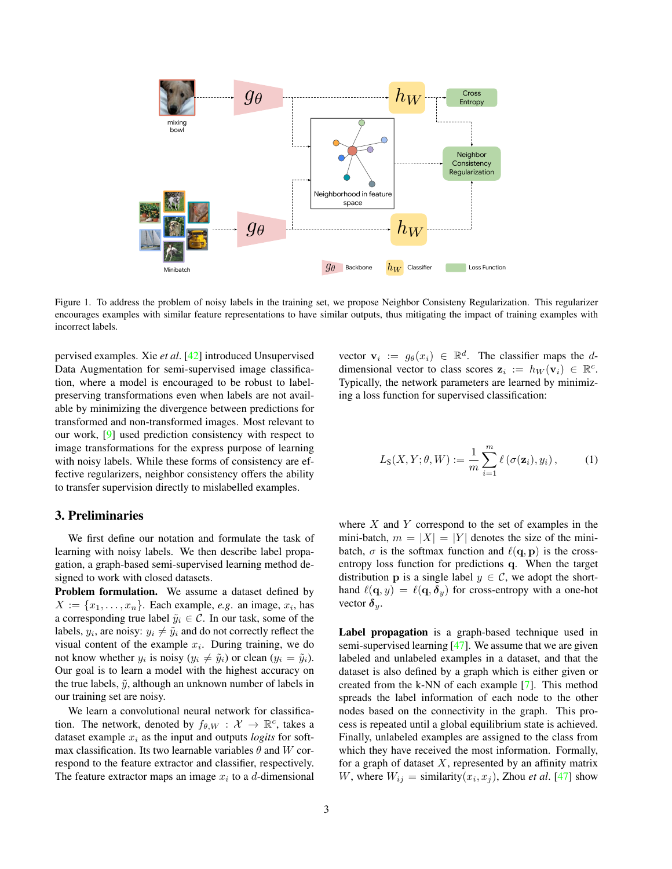<span id="page-2-2"></span><span id="page-2-0"></span>

Figure 1. To address the problem of noisy labels in the training set, we propose Neighbor Consisteny Regularization. This regularizer encourages examples with similar feature representations to have similar outputs, thus mitigating the impact of training examples with incorrect labels.

Data Augmentation for semi-supervised image classificapervised examples. Xie *et al*. [\[42\]](#page-9-12) introduced Unsupervised tion, where a model is encouraged to be robust to labelpreserving transformations even when labels are not available by minimizing the divergence between predictions for transformed and non-transformed images. Most relevant to our work, [\[9\]](#page-8-22) used prediction consistency with respect to image transformations for the express purpose of learning with noisy labels. While these forms of consistency are effective regularizers, neighbor consistency offers the ability to transfer supervision directly to mislabelled examples.

# 3. Preliminaries

We first define our notation and formulate the task of learning with noisy labels. We then describe label propagation, a graph-based semi-supervised learning method designed to work with closed datasets.

Problem formulation. We assume a dataset defined by  $X := \{x_1, \ldots, x_n\}$ . Each example, *e.g.* an image,  $x_i$ , has a corresponding true label  $\tilde{y}_i \in \mathcal{C}$ . In our task, some of the labels,  $y_i$ , are noisy:  $y_i \neq \tilde{y}_i$  and do not correctly reflect the visual content of the example  $x_i$ . During training, we do not know whether  $y_i$  is noisy  $(y_i \neq \tilde{y}_i)$  or clean  $(y_i = \tilde{y}_i)$ . Our goal is to learn a model with the highest accuracy on the true labels,  $\tilde{y}$ , although an unknown number of labels in our training set are noisy.

We learn a convolutional neural network for classification. The network, denoted by  $f_{\theta,W} : \mathcal{X} \to \mathbb{R}^c$ , takes a dataset example  $x_i$  as the input and outputs *logits* for softmax classification. Its two learnable variables  $\theta$  and W correspond to the feature extractor and classifier, respectively. The feature extractor maps an image  $x_i$  to a d-dimensional

vector  $\mathbf{v}_i := g_\theta(x_i) \in \mathbb{R}^d$ . The classifier maps the ddimensional vector to class scores  $\mathbf{z}_i := h_W(\mathbf{v}_i) \in \mathbb{R}^c$ . Typically, the network parameters are learned by minimizing a loss function for supervised classification:

<span id="page-2-1"></span>
$$
L_{\mathbf{S}}(X, Y; \theta, W) := \frac{1}{m} \sum_{i=1}^{m} \ell \left( \sigma(\mathbf{z}_i), y_i \right), \tag{1}
$$

where  $X$  and  $Y$  correspond to the set of examples in the mini-batch,  $m = |X| = |Y|$  denotes the size of the minibatch,  $\sigma$  is the softmax function and  $\ell(\mathbf{q}, \mathbf{p})$  is the crossentropy loss function for predictions q. When the target distribution **p** is a single label  $y \in C$ , we adopt the shorthand  $\ell(\mathbf{q}, y) = \ell(\mathbf{q}, \delta_y)$  for cross-entropy with a one-hot vector  $\delta_y$ .

Label propagation is a graph-based technique used in semi-supervised learning [\[47\]](#page-9-3). We assume that we are given labeled and unlabeled examples in a dataset, and that the dataset is also defined by a graph which is either given or created from the k-NN of each example [\[7\]](#page-8-15). This method spreads the label information of each node to the other nodes based on the connectivity in the graph. This process is repeated until a global equilibrium state is achieved. Finally, unlabeled examples are assigned to the class from which they have received the most information. Formally, for a graph of dataset  $X$ , represented by an affinity matrix W, where  $W_{ij} =$  similarity $(x_i, x_j)$ , Zhou *et al.* [\[47\]](#page-9-3) show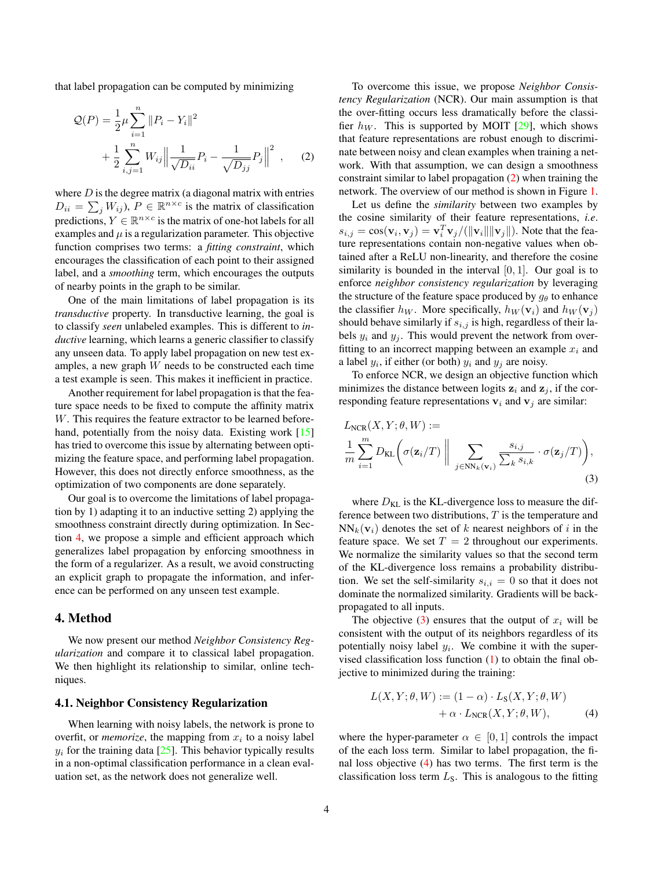<span id="page-3-4"></span>that label propagation can be computed by minimizing

$$
Q(P) = \frac{1}{2}\mu \sum_{i=1}^{n} ||P_i - Y_i||^2
$$
  
+ 
$$
\frac{1}{2} \sum_{i,j=1}^{n} W_{ij} \left\| \frac{1}{\sqrt{D_{ii}}} P_i - \frac{1}{\sqrt{D_{jj}}} P_j \right\|^2 , \quad (2)
$$

where  $D$  is the degree matrix (a diagonal matrix with entries  $D_{ii} = \sum_j W_{ij}$ ,  $P \in \mathbb{R}^{n \times c}$  is the matrix of classification predictions,  $Y \in \mathbb{R}^{n \times c}$  is the matrix of one-hot labels for all examples and  $\mu$  is a regularization parameter. This objective function comprises two terms: a *fitting constraint*, which encourages the classification of each point to their assigned label, and a *smoothing* term, which encourages the outputs of nearby points in the graph to be similar.

One of the main limitations of label propagation is its *transductive* property. In transductive learning, the goal is to classify *seen* unlabeled examples. This is different to *inductive* learning, which learns a generic classifier to classify any unseen data. To apply label propagation on new test examples, a new graph W needs to be constructed each time a test example is seen. This makes it inefficient in practice.

Another requirement for label propagation is that the feature space needs to be fixed to compute the affinity matrix W. This requires the feature extractor to be learned before-hand, potentially from the noisy data. Existing work [\[15\]](#page-8-6) has tried to overcome this issue by alternating between optimizing the feature space, and performing label propagation. However, this does not directly enforce smoothness, as the optimization of two components are done separately.

Our goal is to overcome the limitations of label propagation by 1) adapting it to an inductive setting 2) applying the smoothness constraint directly during optimization. In Section [4,](#page-3-0) we propose a simple and efficient approach which generalizes label propagation by enforcing smoothness in the form of a regularizer. As a result, we avoid constructing an explicit graph to propagate the information, and inference can be performed on any unseen test example.

# <span id="page-3-0"></span>4. Method

We now present our method *Neighbor Consistency Regularization* and compare it to classical label propagation. We then highlight its relationship to similar, online techniques.

## 4.1. Neighbor Consistency Regularization

When learning with noisy labels, the network is prone to overfit, or *memorize*, the mapping from  $x_i$  to a noisy label  $y_i$  for the training data [\[25\]](#page-8-3). This behavior typically results in a non-optimal classification performance in a clean evaluation set, as the network does not generalize well.

To overcome this issue, we propose *Neighbor Consistency Regularization* (NCR). Our main assumption is that the over-fitting occurs less dramatically before the classifier  $h_W$ . This is supported by MOIT [\[29\]](#page-8-14), which shows that feature representations are robust enough to discriminate between noisy and clean examples when training a network. With that assumption, we can design a smoothness constraint similar to label propagation [\(2\)](#page-3-1) when training the network. The overview of our method is shown in Figure [1.](#page-2-0)

<span id="page-3-1"></span>Let us define the *similarity* between two examples by the cosine similarity of their feature representations, *i.e*.  $s_{i,j} = \cos(\mathbf{v}_i, \mathbf{v}_j) = \mathbf{v}_i^T \mathbf{v}_j / (\|\mathbf{v}_i\| \|\mathbf{v}_j\|)$ . Note that the feature representations contain non-negative values when obtained after a ReLU non-linearity, and therefore the cosine similarity is bounded in the interval  $[0, 1]$ . Our goal is to enforce *neighbor consistency regularization* by leveraging the structure of the feature space produced by  $g_{\theta}$  to enhance the classifier  $h_W$ . More specifically,  $h_W(\mathbf{v}_i)$  and  $h_W(\mathbf{v}_i)$ should behave similarly if  $s_{i,j}$  is high, regardless of their labels  $y_i$  and  $y_j$ . This would prevent the network from overfitting to an incorrect mapping between an example  $x_i$  and a label  $y_i$ , if either (or both)  $y_i$  and  $y_j$  are noisy.

To enforce NCR, we design an objective function which minimizes the distance between logits  $z_i$  and  $z_j$ , if the corresponding feature representations  $v_i$  and  $v_j$  are similar:

<span id="page-3-2"></span>
$$
L_{NCR}(X, Y; \theta, W) :=
$$
  
\n
$$
\frac{1}{m} \sum_{i=1}^{m} D_{KL} \left( \sigma(\mathbf{z}_i/T) \parallel \sum_{j \in NN_k(\mathbf{v}_i)} \frac{s_{i,j}}{\sum_{k} s_{i,k}} \cdot \sigma(\mathbf{z}_j/T) \right),
$$
\n(3)

where  $D_{\text{KL}}$  is the KL-divergence loss to measure the difference between two distributions,  $T$  is the temperature and  $NN_k(\mathbf{v}_i)$  denotes the set of k nearest neighbors of i in the feature space. We set  $T = 2$  throughout our experiments. We normalize the similarity values so that the second term of the KL-divergence loss remains a probability distribution. We set the self-similarity  $s_{i,i} = 0$  so that it does not dominate the normalized similarity. Gradients will be backpropagated to all inputs.

The objective [\(3\)](#page-3-2) ensures that the output of  $x_i$  will be consistent with the output of its neighbors regardless of its potentially noisy label  $y_i$ . We combine it with the supervised classification loss function [\(1\)](#page-2-1) to obtain the final objective to minimized during the training:

<span id="page-3-3"></span>
$$
L(X, Y; \theta, W) := (1 - \alpha) \cdot L_{S}(X, Y; \theta, W)
$$
  
+  $\alpha \cdot L_{NCR}(X, Y; \theta, W),$  (4)

where the hyper-parameter  $\alpha \in [0,1]$  controls the impact of the each loss term. Similar to label propagation, the final loss objective [\(4\)](#page-3-3) has two terms. The first term is the classification loss term  $L<sub>S</sub>$ . This is analogous to the fitting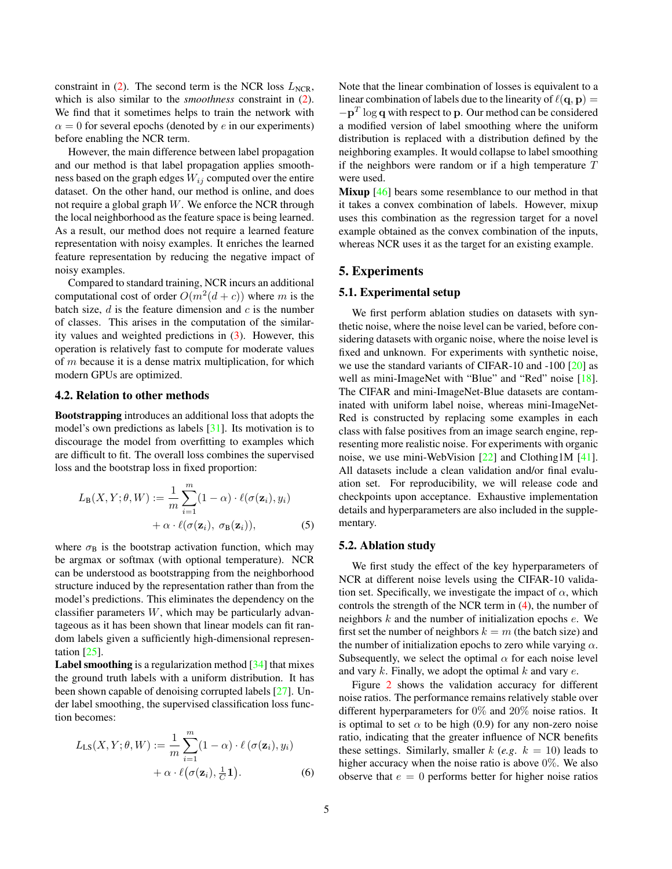<span id="page-4-1"></span>constraint in [\(2\)](#page-3-1). The second term is the NCR loss  $L_{NCR}$ , which is also similar to the *smoothness* constraint in [\(2\)](#page-3-1). We find that it sometimes helps to train the network with  $\alpha = 0$  for several epochs (denoted by e in our experiments) before enabling the NCR term.

However, the main difference between label propagation and our method is that label propagation applies smoothness based on the graph edges  $W_{ij}$  computed over the entire dataset. On the other hand, our method is online, and does not require a global graph  $W$ . We enforce the NCR through the local neighborhood as the feature space is being learned. As a result, our method does not require a learned feature representation with noisy examples. It enriches the learned feature representation by reducing the negative impact of noisy examples.

Compared to standard training, NCR incurs an additional computational cost of order  $O(m^2(d+c))$  where m is the batch size,  $d$  is the feature dimension and  $c$  is the number of classes. This arises in the computation of the similarity values and weighted predictions in [\(3\)](#page-3-2). However, this operation is relatively fast to compute for moderate values of m because it is a dense matrix multiplication, for which modern GPUs are optimized.

### <span id="page-4-0"></span>4.2. Relation to other methods

Bootstrapping introduces an additional loss that adopts the model's own predictions as labels [\[31\]](#page-8-5). Its motivation is to discourage the model from overfitting to examples which are difficult to fit. The overall loss combines the supervised loss and the bootstrap loss in fixed proportion:

$$
L_{\mathbf{B}}(X, Y; \theta, W) := \frac{1}{m} \sum_{i=1}^{m} (1 - \alpha) \cdot \ell(\sigma(\mathbf{z}_i), y_i)
$$

$$
+ \alpha \cdot \ell(\sigma(\mathbf{z}_i), \sigma_{\mathbf{B}}(\mathbf{z}_i)), \tag{5}
$$

where  $\sigma_B$  is the bootstrap activation function, which may be argmax or softmax (with optional temperature). NCR can be understood as bootstrapping from the neighborhood structure induced by the representation rather than from the model's predictions. This eliminates the dependency on the classifier parameters  $W$ , which may be particularly advantageous as it has been shown that linear models can fit random labels given a sufficiently high-dimensional representation [\[25\]](#page-8-3).

**Label smoothing** is a regularization method  $\left[34\right]$  that mixes the ground truth labels with a uniform distribution. It has been shown capable of denoising corrupted labels [\[27\]](#page-8-11). Under label smoothing, the supervised classification loss function becomes:

$$
L_{LS}(X, Y; \theta, W) := \frac{1}{m} \sum_{i=1}^{m} (1 - \alpha) \cdot \ell (\sigma(\mathbf{z}_i), y_i)
$$

$$
+ \alpha \cdot \ell (\sigma(\mathbf{z}_i), \frac{1}{C} \mathbf{1}).
$$
(6)

Note that the linear combination of losses is equivalent to a linear combination of labels due to the linearity of  $\ell(\mathbf{q}, \mathbf{p}) =$  $-p<sup>T</sup>$  log q with respect to p. Our method can be considered a modified version of label smoothing where the uniform distribution is replaced with a distribution defined by the neighboring examples. It would collapse to label smoothing if the neighbors were random or if a high temperature  $T$ were used.

Mixup [\[46\]](#page-9-4) bears some resemblance to our method in that it takes a convex combination of labels. However, mixup uses this combination as the regression target for a novel example obtained as the convex combination of the inputs, whereas NCR uses it as the target for an existing example.

## 5. Experiments

## 5.1. Experimental setup

We first perform ablation studies on datasets with synthetic noise, where the noise level can be varied, before considering datasets with organic noise, where the noise level is fixed and unknown. For experiments with synthetic noise, we use the standard variants of CIFAR-10 and -100 [\[20\]](#page-8-23) as well as mini-ImageNet with "Blue" and "Red" noise [\[18\]](#page-8-8). The CIFAR and mini-ImageNet-Blue datasets are contaminated with uniform label noise, whereas mini-ImageNet-Red is constructed by replacing some examples in each class with false positives from an image search engine, representing more realistic noise. For experiments with organic noise, we use mini-WebVision [\[22\]](#page-8-2) and Clothing1M [\[41\]](#page-9-5). All datasets include a clean validation and/or final evaluation set. For reproducibility, we will release code and checkpoints upon acceptance. Exhaustive implementation details and hyperparameters are also included in the supplementary.

## 5.2. Ablation study

We first study the effect of the key hyperparameters of NCR at different noise levels using the CIFAR-10 validation set. Specifically, we investigate the impact of  $\alpha$ , which controls the strength of the NCR term in [\(4\)](#page-3-3), the number of neighbors  $k$  and the number of initialization epochs  $e$ . We first set the number of neighbors  $k = m$  (the batch size) and the number of initialization epochs to zero while varying  $\alpha$ . Subsequently, we select the optimal  $\alpha$  for each noise level and vary  $k$ . Finally, we adopt the optimal  $k$  and vary  $e$ .

Figure [2](#page-5-0) shows the validation accuracy for different noise ratios. The performance remains relatively stable over different hyperparameters for 0% and 20% noise ratios. It is optimal to set  $\alpha$  to be high (0.9) for any non-zero noise ratio, indicating that the greater influence of NCR benefits these settings. Similarly, smaller  $k$  (*e.g.*  $k = 10$ ) leads to higher accuracy when the noise ratio is above 0\%. We also observe that  $e = 0$  performs better for higher noise ratios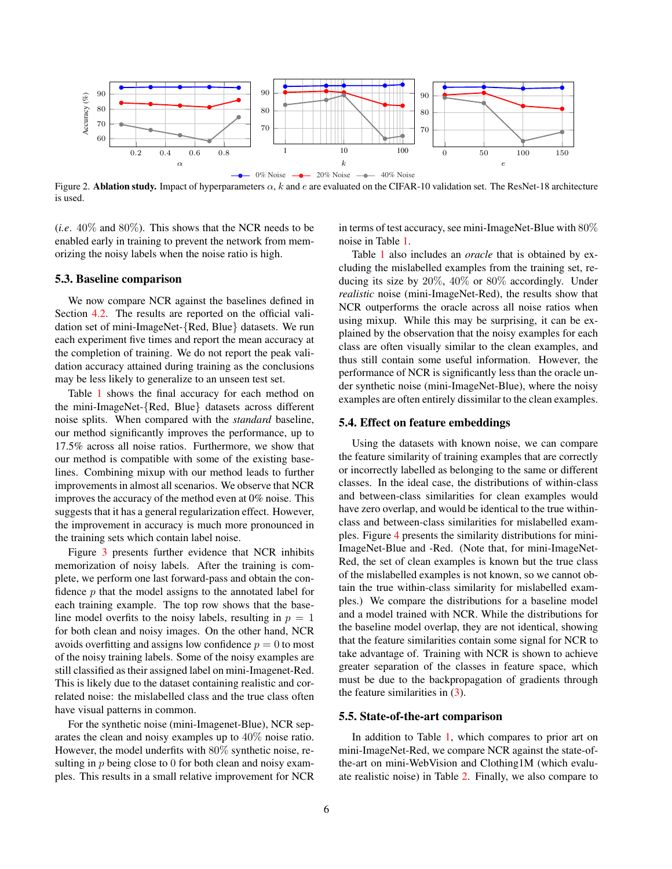<span id="page-5-0"></span>

Figure 2. Ablation study. Impact of hyperparameters  $\alpha$ , k and e are evaluated on the CIFAR-10 validation set. The ResNet-18 architecture is used.

(*i.e*. 40% and 80%). This shows that the NCR needs to be enabled early in training to prevent the network from memorizing the noisy labels when the noise ratio is high.

#### 5.3. Baseline comparison

We now compare NCR against the baselines defined in Section [4.2.](#page-4-0) The results are reported on the official validation set of mini-ImageNet-{Red, Blue} datasets. We run each experiment five times and report the mean accuracy at the completion of training. We do not report the peak validation accuracy attained during training as the conclusions may be less likely to generalize to an unseen test set.

Table [1](#page-6-0) shows the final accuracy for each method on the mini-ImageNet-{Red, Blue} datasets across different noise splits. When compared with the *standard* baseline, our method significantly improves the performance, up to 17.5% across all noise ratios. Furthermore, we show that our method is compatible with some of the existing baselines. Combining mixup with our method leads to further improvements in almost all scenarios. We observe that NCR improves the accuracy of the method even at 0% noise. This suggests that it has a general regularization effect. However, the improvement in accuracy is much more pronounced in the training sets which contain label noise.

Figure [3](#page-6-1) presents further evidence that NCR inhibits memorization of noisy labels. After the training is complete, we perform one last forward-pass and obtain the confidence  $p$  that the model assigns to the annotated label for each training example. The top row shows that the baseline model overfits to the noisy labels, resulting in  $p = 1$ for both clean and noisy images. On the other hand, NCR avoids overfitting and assigns low confidence  $p = 0$  to most of the noisy training labels. Some of the noisy examples are still classified as their assigned label on mini-Imagenet-Red. This is likely due to the dataset containing realistic and correlated noise: the mislabelled class and the true class often have visual patterns in common.

For the synthetic noise (mini-Imagenet-Blue), NCR separates the clean and noisy examples up to 40% noise ratio. However, the model underfits with 80% synthetic noise, resulting in p being close to 0 for both clean and noisy examples. This results in a small relative improvement for NCR in terms of test accuracy, see mini-ImageNet-Blue with 80% noise in Table [1.](#page-6-0)

Table [1](#page-6-0) also includes an *oracle* that is obtained by excluding the mislabelled examples from the training set, reducing its size by 20%, 40% or 80% accordingly. Under *realistic* noise (mini-ImageNet-Red), the results show that NCR outperforms the oracle across all noise ratios when using mixup. While this may be surprising, it can be explained by the observation that the noisy examples for each class are often visually similar to the clean examples, and thus still contain some useful information. However, the performance of NCR is significantly less than the oracle under synthetic noise (mini-ImageNet-Blue), where the noisy examples are often entirely dissimilar to the clean examples.

#### 5.4. Effect on feature embeddings

Using the datasets with known noise, we can compare the feature similarity of training examples that are correctly or incorrectly labelled as belonging to the same or different classes. In the ideal case, the distributions of within-class and between-class similarities for clean examples would have zero overlap, and would be identical to the true withinclass and between-class similarities for mislabelled examples. Figure [4](#page-7-0) presents the similarity distributions for mini-ImageNet-Blue and -Red. (Note that, for mini-ImageNet-Red, the set of clean examples is known but the true class of the mislabelled examples is not known, so we cannot obtain the true within-class similarity for mislabelled examples.) We compare the distributions for a baseline model and a model trained with NCR. While the distributions for the baseline model overlap, they are not identical, showing that the feature similarities contain some signal for NCR to take advantage of. Training with NCR is shown to achieve greater separation of the classes in feature space, which must be due to the backpropagation of gradients through the feature similarities in [\(3\)](#page-3-2).

### 5.5. State-of-the-art comparison

In addition to Table [1,](#page-6-0) which compares to prior art on mini-ImageNet-Red, we compare NCR against the state-ofthe-art on mini-WebVision and Clothing1M (which evaluate realistic noise) in Table [2.](#page-7-1) Finally, we also compare to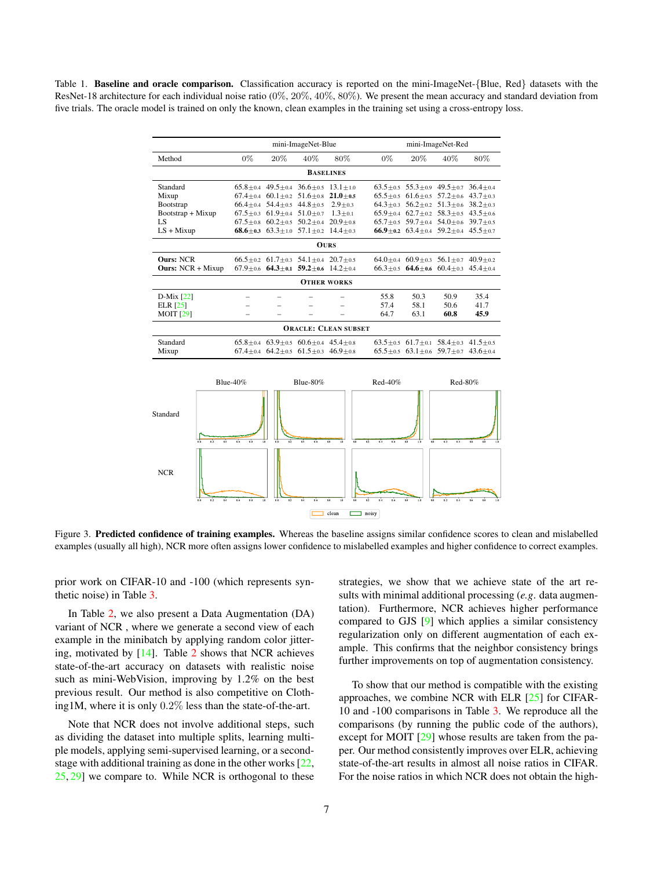<span id="page-6-2"></span><span id="page-6-0"></span>Table 1. Baseline and oracle comparison. Classification accuracy is reported on the mini-ImageNet-{Blue, Red} datasets with the ResNet-18 architecture for each individual noise ratio (0%, 20%, 40%, 80%). We present the mean accuracy and standard deviation from five trials. The oracle model is trained on only the known, clean examples in the training set using a cross-entropy loss.

| mini-ImageNet-Blue          |       |                                              |                                                             |               | mini-ImageNet-Red |                                        |                                                             |              |
|-----------------------------|-------|----------------------------------------------|-------------------------------------------------------------|---------------|-------------------|----------------------------------------|-------------------------------------------------------------|--------------|
| Method                      | $0\%$ | $20\%$                                       | $40\%$                                                      | 80%           | $0\%$             | $20\%$                                 | 40%                                                         | 80%          |
| <b>BASELINES</b>            |       |                                              |                                                             |               |                   |                                        |                                                             |              |
| Standard                    |       |                                              | $65.8 + 0.4$ $49.5 + 0.4$ $36.6 + 0.5$ $13.1 + 1.0$         |               |                   | $63.5 + 0.5$ $55.3 + 0.9$ $49.5 + 0.7$ |                                                             | $36.4 + 0.4$ |
| Mixup                       |       |                                              | $67.4 + 0.4$ $60.1 + 0.2$ $51.6 + 0.8$                      | $21.0 + 0.5$  |                   |                                        | $65.5 + 0.5$ $61.6 + 0.5$ $57.2 + 0.6$                      | $43.7 + 0.3$ |
| Bootstrap                   |       | $66.4 \pm 0.4$ 54.4 $\pm$ 0.5 44.8 $\pm$ 0.5 |                                                             | $2.9 + 0.3$   |                   |                                        | $64.3 + 0.3$ $56.2 + 0.2$ $51.3 + 0.6$                      | $38.2 + 0.3$ |
| $Boostrap + Mixup$          |       | $67.5 + 0.3$ $61.9 + 0.4$ $51.0 + 0.7$       |                                                             | $1.3 \pm 0.1$ |                   |                                        | $65.9 + 0.4$ $62.7 + 0.2$ $58.3 + 0.5$                      | $43.5 + 0.6$ |
| LS.                         |       |                                              | $67.5 + 0.8$ $60.2 + 0.5$ $50.2 + 0.4$ $20.9 + 0.8$         |               |                   |                                        | $65.7 + 0.5$ 59.7 + 0.4 54.0 + 0.6 39.7 + 0.5               |              |
| $LS + Mixup$                |       |                                              | 68.6+0.3 63.3+1.0 57.1+0.2 14.4+0.3                         |               |                   |                                        | 66.9+0.2 63.4+0.4 59.2+0.4 45.5+0.7                         |              |
| <b>OURS</b>                 |       |                                              |                                                             |               |                   |                                        |                                                             |              |
| <b>Ours: NCR</b>            |       |                                              | $66.5 + 0.2$ $61.7 + 0.3$ $54.1 + 0.4$ $20.7 + 0.5$         |               |                   |                                        | $64.0 + 0.4$ $60.9 + 0.3$ $56.1 + 0.7$                      | $40.9 + 0.2$ |
| <b>Ours: NCR + Mixup</b>    |       |                                              | $67.9 \pm 0.6$ $64.3 \pm 0.1$ $59.2 \pm 0.6$ $14.2 \pm 0.4$ |               |                   |                                        | $66.3 + 0.5$ $64.6 + 0.6$ $60.4 + 0.3$ $45.4 + 0.4$         |              |
| <b>OTHER WORKS</b>          |       |                                              |                                                             |               |                   |                                        |                                                             |              |
| $D$ -Mix [22]               |       |                                              |                                                             |               | 55.8              | 50.3                                   | 50.9                                                        | 35.4         |
| ELR $[25]$                  |       |                                              |                                                             |               | 57.4              | 58.1                                   | 50.6                                                        | 41.7         |
| <b>MOIT</b> [29]            |       |                                              |                                                             |               | 64.7              | 63.1                                   | 60.8                                                        | 45.9         |
| <b>ORACLE: CLEAN SUBSET</b> |       |                                              |                                                             |               |                   |                                        |                                                             |              |
| Standard                    |       |                                              | $65.8 + 0.4$ $63.9 + 0.5$ $60.6 + 0.4$ $45.4 + 0.8$         |               |                   |                                        | $63.5 + 0.5$ $61.7 + 0.1$ $58.4 + 0.3$ $41.5 + 0.5$         |              |
| Mixup                       |       |                                              | $67.4 \pm 0.4$ $64.2 \pm 0.5$ $61.5 \pm 0.3$ $46.9 \pm 0.8$ |               |                   |                                        | $65.5 \pm 0.5$ $63.1 \pm 0.6$ $59.7 \pm 0.7$ $43.6 \pm 0.4$ |              |

<span id="page-6-1"></span>

Figure 3. Predicted confidence of training examples. Whereas the baseline assigns similar confidence scores to clean and mislabelled examples (usually all high), NCR more often assigns lower confidence to mislabelled examples and higher confidence to correct examples.

prior work on CIFAR-10 and -100 (which represents synthetic noise) in Table [3.](#page-7-2)

In Table [2,](#page-7-1) we also present a Data Augmentation (DA) variant of NCR , where we generate a second view of each example in the minibatch by applying random color jittering, motivated by [\[14\]](#page-8-24). Table [2](#page-7-1) shows that NCR achieves state-of-the-art accuracy on datasets with realistic noise such as mini-WebVision, improving by 1.2% on the best previous result. Our method is also competitive on Clothing1M, where it is only 0.2% less than the state-of-the-art.

Note that NCR does not involve additional steps, such as dividing the dataset into multiple splits, learning multiple models, applying semi-supervised learning, or a secondstage with additional training as done in the other works [\[22,](#page-8-2) [25,](#page-8-3) [29\]](#page-8-14) we compare to. While NCR is orthogonal to these strategies, we show that we achieve state of the art results with minimal additional processing (*e.g*. data augmentation). Furthermore, NCR achieves higher performance compared to GJS [\[9\]](#page-8-22) which applies a similar consistency regularization only on different augmentation of each example. This confirms that the neighbor consistency brings further improvements on top of augmentation consistency.

To show that our method is compatible with the existing approaches, we combine NCR with ELR [\[25\]](#page-8-3) for CIFAR-10 and -100 comparisons in Table [3.](#page-7-2) We reproduce all the comparisons (by running the public code of the authors), except for MOIT [\[29\]](#page-8-14) whose results are taken from the paper. Our method consistently improves over ELR, achieving state-of-the-art results in almost all noise ratios in CIFAR. For the noise ratios in which NCR does not obtain the high-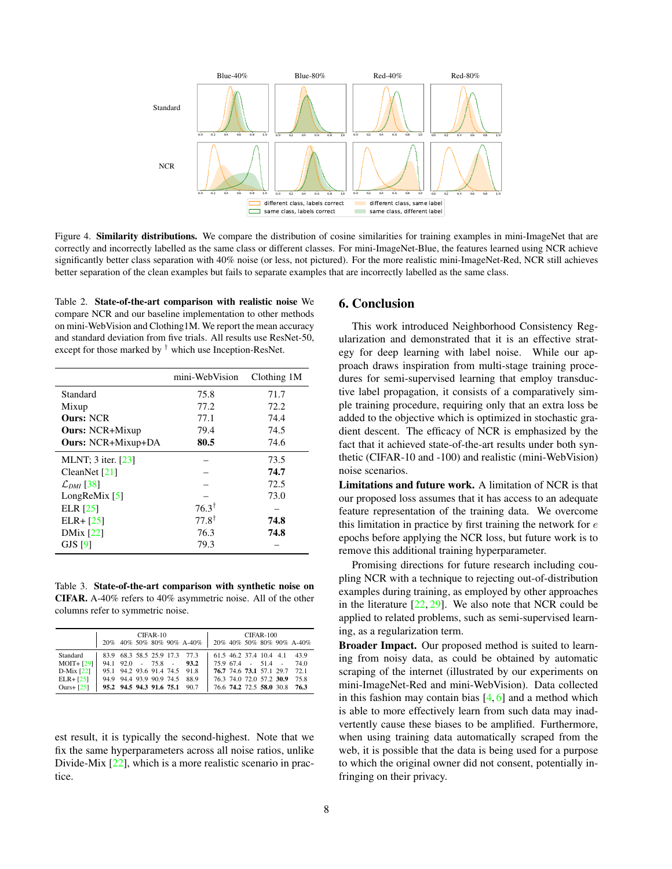<span id="page-7-3"></span><span id="page-7-0"></span>

Figure 4. Similarity distributions. We compare the distribution of cosine similarities for training examples in mini-ImageNet that are correctly and incorrectly labelled as the same class or different classes. For mini-ImageNet-Blue, the features learned using NCR achieve significantly better class separation with 40% noise (or less, not pictured). For the more realistic mini-ImageNet-Red, NCR still achieves better separation of the clean examples but fails to separate examples that are incorrectly labelled as the same class.

<span id="page-7-1"></span>Table 2. State-of-the-art comparison with realistic noise We compare NCR and our baseline implementation to other methods on mini-WebVision and Clothing1M. We report the mean accuracy and standard deviation from five trials. All results use ResNet-50, except for those marked by  $\dagger$  which use Inception-ResNet.

|                           | mini-WebVision   | Clothing 1M |
|---------------------------|------------------|-------------|
| Standard                  | 75.8             | 71.7        |
| Mixup                     | 77.2             | 72.2        |
| Ours: NCR                 | 77.1             | 74.4        |
| <b>Ours: NCR+Mixup</b>    | 79.4             | 74.5        |
| <b>Ours: NCR+Mixup+DA</b> | 80.5             | 74.6        |
| MLNT: 3 iter. [23]        |                  | 73.5        |
| CleanNet $[21]$           |                  | 74.7        |
| $\mathcal{L}_{DMI}$ [38]  |                  | 72.5        |
| LongReMix $[5]$           |                  | 73.0        |
| ELR $[25]$                | $76.3^{\dagger}$ |             |
| $ELR + [25]$              | $77.8^{\dagger}$ | 74.8        |
| $DMix$ [22]               | 76.3             | 74.8        |
| $GJS$ [9]                 | 79.3             |             |

<span id="page-7-2"></span>Table 3. State-of-the-art comparison with synthetic noise on CIFAR. A-40% refers to 40% asymmetric noise. All of the other columns refer to symmetric noise.

|               | $CIFAR-10$<br>20% 40% 50% 80% 90% A-40% |  |  | $CIFAR-100$<br>20% 40% 50% 80% 90% A-40% |                                 |  |  |                     |  |                          |                               |
|---------------|-----------------------------------------|--|--|------------------------------------------|---------------------------------|--|--|---------------------|--|--------------------------|-------------------------------|
|               |                                         |  |  |                                          |                                 |  |  |                     |  |                          |                               |
| Standard      |                                         |  |  |                                          | 83.9 68.3 58.5 25.9 17.3 77.3   |  |  |                     |  |                          | 61.5 46.2 37.4 10.4 4.1 43.9  |
| $MOIT + [29]$ |                                         |  |  |                                          | $94.1$ $92.0$ - $75.8$ - $93.2$ |  |  | $75.967.4 - 51.4 -$ |  |                          | 74.0                          |
| $D-Mix$ [22]  |                                         |  |  |                                          | 95.1 94.2 93.6 91.4 74.5 91.8   |  |  |                     |  |                          | 76.7 74.6 73.1 57.1 29.7 72.1 |
| $ELR+1251$    |                                         |  |  |                                          | 94.9 94.4 93.9 90.9 74.5 88.9   |  |  |                     |  | 76.3 74.0 72.0 57.2 30.9 | 75.8                          |
| Ours+ $[25]$  |                                         |  |  |                                          | 95.2 94.5 94.3 91.6 75.1 90.7   |  |  |                     |  |                          | 76.6 74.2 72.5 58.0 30.8 76.3 |

est result, it is typically the second-highest. Note that we fix the same hyperparameters across all noise ratios, unlike Divide-Mix [\[22\]](#page-8-2), which is a more realistic scenario in practice.

## 6. Conclusion

This work introduced Neighborhood Consistency Regularization and demonstrated that it is an effective strategy for deep learning with label noise. While our approach draws inspiration from multi-stage training procedures for semi-supervised learning that employ transductive label propagation, it consists of a comparatively simple training procedure, requiring only that an extra loss be added to the objective which is optimized in stochastic gradient descent. The efficacy of NCR is emphasized by the fact that it achieved state-of-the-art results under both synthetic (CIFAR-10 and -100) and realistic (mini-WebVision) noise scenarios.

Limitations and future work. A limitation of NCR is that our proposed loss assumes that it has access to an adequate feature representation of the training data. We overcome this limitation in practice by first training the network for  $e$ epochs before applying the NCR loss, but future work is to remove this additional training hyperparameter.

Promising directions for future research including coupling NCR with a technique to rejecting out-of-distribution examples during training, as employed by other approaches in the literature  $[22, 29]$  $[22, 29]$  $[22, 29]$ . We also note that NCR could be applied to related problems, such as semi-supervised learning, as a regularization term.

Broader Impact. Our proposed method is suited to learning from noisy data, as could be obtained by automatic scraping of the internet (illustrated by our experiments on mini-ImageNet-Red and mini-WebVision). Data collected in this fashion may contain bias  $[4, 6]$  $[4, 6]$  $[4, 6]$  and a method which is able to more effectively learn from such data may inadvertently cause these biases to be amplified. Furthermore, when using training data automatically scraped from the web, it is possible that the data is being used for a purpose to which the original owner did not consent, potentially infringing on their privacy.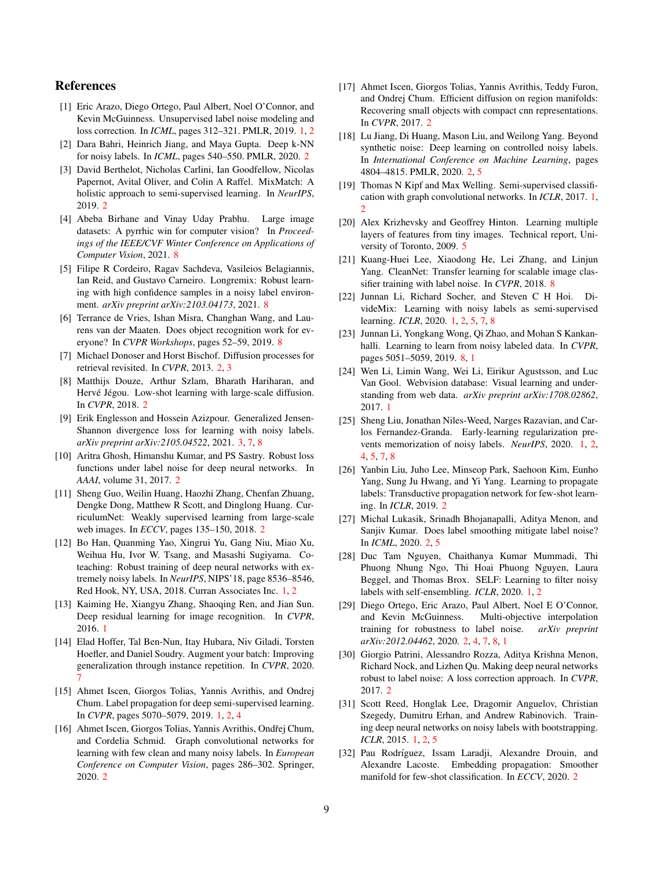# References

- <span id="page-8-0"></span>[1] Eric Arazo, Diego Ortego, Paul Albert, Noel O'Connor, and Kevin McGuinness. Unsupervised label noise modeling and loss correction. In *ICML*, pages 312–321. PMLR, 2019. [1,](#page-0-0) [2](#page-1-0)
- <span id="page-8-13"></span>[2] Dara Bahri, Heinrich Jiang, and Maya Gupta. Deep k-NN for noisy labels. In *ICML*, pages 540–550. PMLR, 2020. [2](#page-1-0)
- <span id="page-8-21"></span>[3] David Berthelot, Nicholas Carlini, Ian Goodfellow, Nicolas Papernot, Avital Oliver, and Colin A Raffel. MixMatch: A holistic approach to semi-supervised learning. In *NeurIPS*, 2019. [2](#page-1-0)
- <span id="page-8-28"></span>[4] Abeba Birhane and Vinay Uday Prabhu. Large image datasets: A pyrrhic win for computer vision? In *Proceedings of the IEEE/CVF Winter Conference on Applications of Computer Vision*, 2021. [8](#page-7-3)
- <span id="page-8-27"></span>[5] Filipe R Cordeiro, Ragav Sachdeva, Vasileios Belagiannis, Ian Reid, and Gustavo Carneiro. Longremix: Robust learning with high confidence samples in a noisy label environment. *arXiv preprint arXiv:2103.04173*, 2021. [8](#page-7-3)
- <span id="page-8-29"></span>[6] Terrance de Vries, Ishan Misra, Changhan Wang, and Laurens van der Maaten. Does object recognition work for everyone? In *CVPR Workshops*, pages 52–59, 2019. [8](#page-7-3)
- <span id="page-8-15"></span>[7] Michael Donoser and Horst Bischof. Diffusion processes for retrieval revisited. In *CVPR*, 2013. [2,](#page-1-0) [3](#page-2-2)
- <span id="page-8-17"></span>[8] Matthijs Douze, Arthur Szlam, Bharath Hariharan, and Hervé Jégou. Low-shot learning with large-scale diffusion. In *CVPR*, 2018. [2](#page-1-0)
- <span id="page-8-22"></span>[9] Erik Englesson and Hossein Azizpour. Generalized Jensen-Shannon divergence loss for learning with noisy labels. *arXiv preprint arXiv:2105.04522*, 2021. [3,](#page-2-2) [7,](#page-6-2) [8](#page-7-3)
- <span id="page-8-10"></span>[10] Aritra Ghosh, Himanshu Kumar, and PS Sastry. Robust loss functions under label noise for deep neural networks. In *AAAI*, volume 31, 2017. [2](#page-1-0)
- <span id="page-8-12"></span>[11] Sheng Guo, Weilin Huang, Haozhi Zhang, Chenfan Zhuang, Dengke Dong, Matthew R Scott, and Dinglong Huang. CurriculumNet: Weakly supervised learning from large-scale web images. In *ECCV*, pages 135–150, 2018. [2](#page-1-0)
- <span id="page-8-1"></span>[12] Bo Han, Quanming Yao, Xingrui Yu, Gang Niu, Miao Xu, Weihua Hu, Ivor W. Tsang, and Masashi Sugiyama. Coteaching: Robust training of deep neural networks with extremely noisy labels. In *NeurIPS*, NIPS'18, page 8536–8546, Red Hook, NY, USA, 2018. Curran Associates Inc. [1,](#page-0-0) [2](#page-1-0)
- <span id="page-8-30"></span>[13] Kaiming He, Xiangyu Zhang, Shaoqing Ren, and Jian Sun. Deep residual learning for image recognition. In *CVPR*, 2016. [1](#page-0-0)
- <span id="page-8-24"></span>[14] Elad Hoffer, Tal Ben-Nun, Itay Hubara, Niv Giladi, Torsten Hoefler, and Daniel Soudry. Augment your batch: Improving generalization through instance repetition. In *CVPR*, 2020. [7](#page-6-2)
- <span id="page-8-6"></span>[15] Ahmet Iscen, Giorgos Tolias, Yannis Avrithis, and Ondrej Chum. Label propagation for deep semi-supervised learning. In *CVPR*, pages 5070–5079, 2019. [1,](#page-0-0) [2,](#page-1-0) [4](#page-3-4)
- <span id="page-8-20"></span>[16] Ahmet Iscen, Giorgos Tolias, Yannis Avrithis, Ondřej Chum, and Cordelia Schmid. Graph convolutional networks for learning with few clean and many noisy labels. In *European Conference on Computer Vision*, pages 286–302. Springer, 2020. [2](#page-1-0)
- <span id="page-8-16"></span>[17] Ahmet Iscen, Giorgos Tolias, Yannis Avrithis, Teddy Furon, and Ondrej Chum. Efficient diffusion on region manifolds: Recovering small objects with compact cnn representations. In *CVPR*, 2017. [2](#page-1-0)
- <span id="page-8-8"></span>[18] Lu Jiang, Di Huang, Mason Liu, and Weilong Yang. Beyond synthetic noise: Deep learning on controlled noisy labels. In *International Conference on Machine Learning*, pages 4804–4815. PMLR, 2020. [2,](#page-1-0) [5](#page-4-1)
- <span id="page-8-7"></span>[19] Thomas N Kipf and Max Welling. Semi-supervised classification with graph convolutional networks. In *ICLR*, 2017. [1,](#page-0-0) [2](#page-1-0)
- <span id="page-8-23"></span>[20] Alex Krizhevsky and Geoffrey Hinton. Learning multiple layers of features from tiny images. Technical report, University of Toronto, 2009. [5](#page-4-1)
- <span id="page-8-26"></span>[21] Kuang-Huei Lee, Xiaodong He, Lei Zhang, and Linjun Yang. CleanNet: Transfer learning for scalable image classifier training with label noise. In *CVPR*, 2018. [8](#page-7-3)
- <span id="page-8-2"></span>[22] Junnan Li, Richard Socher, and Steven C H Hoi. DivideMix: Learning with noisy labels as semi-supervised learning. *ICLR*, 2020. [1,](#page-0-0) [2,](#page-1-0) [5,](#page-4-1) [7,](#page-6-2) [8](#page-7-3)
- <span id="page-8-25"></span>[23] Junnan Li, Yongkang Wong, Qi Zhao, and Mohan S Kankanhalli. Learning to learn from noisy labeled data. In *CVPR*, pages 5051–5059, 2019. [8,](#page-7-3) [1](#page-0-0)
- <span id="page-8-31"></span>[24] Wen Li, Limin Wang, Wei Li, Eirikur Agustsson, and Luc Van Gool. Webvision database: Visual learning and understanding from web data. *arXiv preprint arXiv:1708.02862*, 2017. [1](#page-0-0)
- <span id="page-8-3"></span>[25] Sheng Liu, Jonathan Niles-Weed, Narges Razavian, and Carlos Fernandez-Granda. Early-learning regularization prevents memorization of noisy labels. *NeurIPS*, 2020. [1,](#page-0-0) [2,](#page-1-0) [4,](#page-3-4) [5,](#page-4-1) [7,](#page-6-2) [8](#page-7-3)
- <span id="page-8-18"></span>[26] Yanbin Liu, Juho Lee, Minseop Park, Saehoon Kim, Eunho Yang, Sung Ju Hwang, and Yi Yang. Learning to propagate labels: Transductive propagation network for few-shot learning. In *ICLR*, 2019. [2](#page-1-0)
- <span id="page-8-11"></span>[27] Michal Lukasik, Srinadh Bhojanapalli, Aditya Menon, and Sanjiv Kumar. Does label smoothing mitigate label noise? In *ICML*, 2020. [2,](#page-1-0) [5](#page-4-1)
- <span id="page-8-4"></span>[28] Duc Tam Nguyen, Chaithanya Kumar Mummadi, Thi Phuong Nhung Ngo, Thi Hoai Phuong Nguyen, Laura Beggel, and Thomas Brox. SELF: Learning to filter noisy labels with self-ensembling. *ICLR*, 2020. [1,](#page-0-0) [2](#page-1-0)
- <span id="page-8-14"></span>[29] Diego Ortego, Eric Arazo, Paul Albert, Noel E O'Connor, and Kevin McGuinness. Multi-objective interpolation training for robustness to label noise. *arXiv preprint arXiv:2012.04462*, 2020. [2,](#page-1-0) [4,](#page-3-4) [7,](#page-6-2) [8,](#page-7-3) [1](#page-0-0)
- <span id="page-8-9"></span>[30] Giorgio Patrini, Alessandro Rozza, Aditya Krishna Menon, Richard Nock, and Lizhen Qu. Making deep neural networks robust to label noise: A loss correction approach. In *CVPR*, 2017. [2](#page-1-0)
- <span id="page-8-5"></span>[31] Scott Reed, Honglak Lee, Dragomir Anguelov, Christian Szegedy, Dumitru Erhan, and Andrew Rabinovich. Training deep neural networks on noisy labels with bootstrapping. *ICLR*, 2015. [1,](#page-0-0) [2,](#page-1-0) [5](#page-4-1)
- <span id="page-8-19"></span>[32] Pau Rodríguez, Issam Laradji, Alexandre Drouin, and Alexandre Lacoste. Embedding propagation: Smoother manifold for few-shot classification. In *ECCV*, 2020. [2](#page-1-0)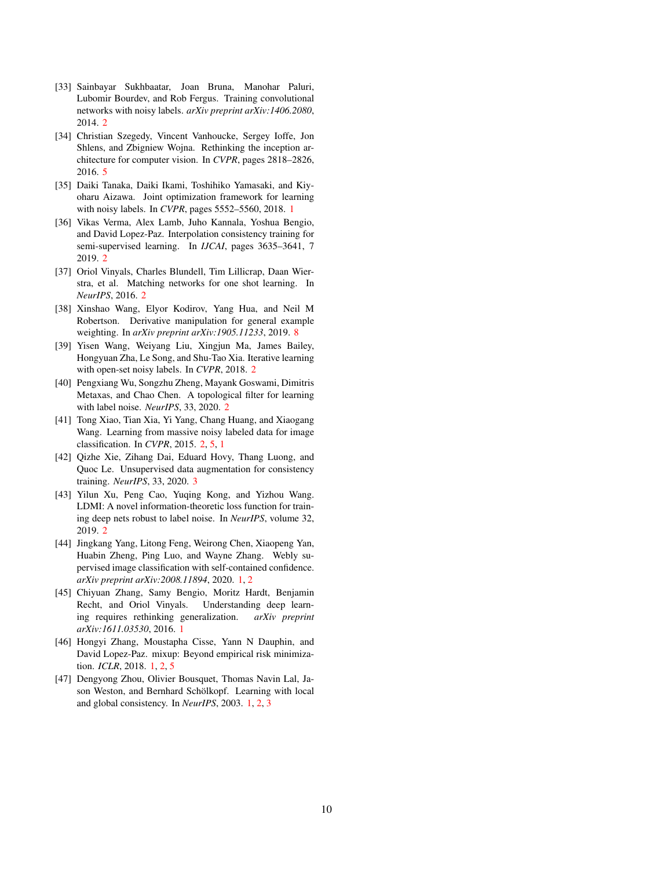- <span id="page-9-6"></span>[33] Sainbayar Sukhbaatar, Joan Bruna, Manohar Paluri, Lubomir Bourdev, and Rob Fergus. Training convolutional networks with noisy labels. *arXiv preprint arXiv:1406.2080*, 2014. [2](#page-1-0)
- <span id="page-9-13"></span>[34] Christian Szegedy, Vincent Vanhoucke, Sergey Ioffe, Jon Shlens, and Zbigniew Wojna. Rethinking the inception architecture for computer vision. In *CVPR*, pages 2818–2826, 2016. [5](#page-4-1)
- <span id="page-9-0"></span>[35] Daiki Tanaka, Daiki Ikami, Toshihiko Yamasaki, and Kiyoharu Aizawa. Joint optimization framework for learning with noisy labels. In *CVPR*, pages 5552–5560, 2018. [1](#page-0-0)
- <span id="page-9-11"></span>[36] Vikas Verma, Alex Lamb, Juho Kannala, Yoshua Bengio, and David Lopez-Paz. Interpolation consistency training for semi-supervised learning. In *IJCAI*, pages 3635–3641, 7 2019. [2](#page-1-0)
- <span id="page-9-10"></span>[37] Oriol Vinyals, Charles Blundell, Tim Lillicrap, Daan Wierstra, et al. Matching networks for one shot learning. In *NeurIPS*, 2016. [2](#page-1-0)
- <span id="page-9-14"></span>[38] Xinshao Wang, Elyor Kodirov, Yang Hua, and Neil M Robertson. Derivative manipulation for general example weighting. In *arXiv preprint arXiv:1905.11233*, 2019. [8](#page-7-3)
- <span id="page-9-8"></span>[39] Yisen Wang, Weiyang Liu, Xingjun Ma, James Bailey, Hongyuan Zha, Le Song, and Shu-Tao Xia. Iterative learning with open-set noisy labels. In *CVPR*, 2018. [2](#page-1-0)
- <span id="page-9-9"></span>[40] Pengxiang Wu, Songzhu Zheng, Mayank Goswami, Dimitris Metaxas, and Chao Chen. A topological filter for learning with label noise. *NeurIPS*, 33, 2020. [2](#page-1-0)
- <span id="page-9-5"></span>[41] Tong Xiao, Tian Xia, Yi Yang, Chang Huang, and Xiaogang Wang. Learning from massive noisy labeled data for image classification. In *CVPR*, 2015. [2,](#page-1-0) [5,](#page-4-1) [1](#page-0-0)
- <span id="page-9-12"></span>[42] Qizhe Xie, Zihang Dai, Eduard Hovy, Thang Luong, and Quoc Le. Unsupervised data augmentation for consistency training. *NeurIPS*, 33, 2020. [3](#page-2-2)
- <span id="page-9-7"></span>[43] Yilun Xu, Peng Cao, Yuqing Kong, and Yizhou Wang. LDMI: A novel information-theoretic loss function for training deep nets robust to label noise. In *NeurIPS*, volume 32, 2019. [2](#page-1-0)
- <span id="page-9-1"></span>[44] Jingkang Yang, Litong Feng, Weirong Chen, Xiaopeng Yan, Huabin Zheng, Ping Luo, and Wayne Zhang. Webly supervised image classification with self-contained confidence. *arXiv preprint arXiv:2008.11894*, 2020. [1,](#page-0-0) [2](#page-1-0)
- <span id="page-9-2"></span>[45] Chiyuan Zhang, Samy Bengio, Moritz Hardt, Benjamin Recht, and Oriol Vinyals. Understanding deep learning requires rethinking generalization. *arXiv preprint arXiv:1611.03530*, 2016. [1](#page-0-0)
- <span id="page-9-4"></span>[46] Hongyi Zhang, Moustapha Cisse, Yann N Dauphin, and David Lopez-Paz. mixup: Beyond empirical risk minimization. *ICLR*, 2018. [1,](#page-0-0) [2,](#page-1-0) [5](#page-4-1)
- <span id="page-9-3"></span>[47] Dengyong Zhou, Olivier Bousquet, Thomas Navin Lal, Jason Weston, and Bernhard Schölkopf. Learning with local and global consistency. In *NeurIPS*, 2003. [1,](#page-0-0) [2,](#page-1-0) [3](#page-2-2)